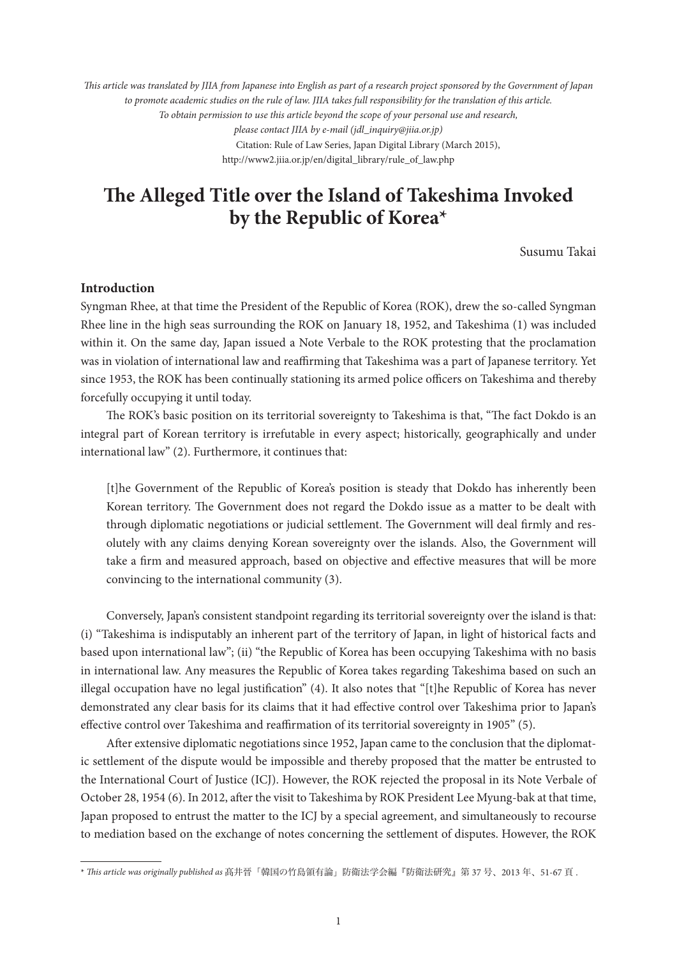*This article was translated by JIIA from Japanese into English as part of a research project sponsored by the Government of Japan to promote academic studies on the rule of law. JIIA takes full responsibility for the translation of this article. To obtain permission to use this article beyond the scope of your personal use and research, please contact JIIA by e-mail (jdl\_inquiry@jiia.or.jp)* Citation: Rule of Law Series, Japan Digital Library (March 2015), http://www2.jiia.or.jp/en/digital\_library/rule\_of\_law.php

# **The Alleged Title over the Island of Takeshima Invoked**  by the Republic of Korea<sup>\*</sup>

Susumu Takai

# **Introduction**

Syngman Rhee, at that time the President of the Republic of Korea (ROK), drew the so-called Syngman Rhee line in the high seas surrounding the ROK on January 18, 1952, and Takeshima (1) was included within it. On the same day, Japan issued a Note Verbale to the ROK protesting that the proclamation was in violation of international law and reaffirming that Takeshima was a part of Japanese territory. Yet since 1953, the ROK has been continually stationing its armed police officers on Takeshima and thereby forcefully occupying it until today.

The ROK's basic position on its territorial sovereignty to Takeshima is that, "The fact Dokdo is an integral part of Korean territory is irrefutable in every aspect; historically, geographically and under international law" (2). Furthermore, it continues that:

[t]he Government of the Republic of Korea's position is steady that Dokdo has inherently been Korean territory. The Government does not regard the Dokdo issue as a matter to be dealt with through diplomatic negotiations or judicial settlement. The Government will deal firmly and resolutely with any claims denying Korean sovereignty over the islands. Also, the Government will take a firm and measured approach, based on objective and effective measures that will be more convincing to the international community (3).

Conversely, Japan's consistent standpoint regarding its territorial sovereignty over the island is that: (i) "Takeshima is indisputably an inherent part of the territory of Japan, in light of historical facts and based upon international law"; (ii) "the Republic of Korea has been occupying Takeshima with no basis in international law. Any measures the Republic of Korea takes regarding Takeshima based on such an illegal occupation have no legal justification" (4). It also notes that "[t]he Republic of Korea has never demonstrated any clear basis for its claims that it had effective control over Takeshima prior to Japan's effective control over Takeshima and reaffirmation of its territorial sovereignty in 1905" (5).

After extensive diplomatic negotiations since 1952, Japan came to the conclusion that the diplomatic settlement of the dispute would be impossible and thereby proposed that the matter be entrusted to the International Court of Justice (ICJ). However, the ROK rejected the proposal in its Note Verbale of October 28, 1954 (6). In 2012, after the visit to Takeshima by ROK President Lee Myung-bak at that time, Japan proposed to entrust the matter to the ICJ by a special agreement, and simultaneously to recourse to mediation based on the exchange of notes concerning the settlement of disputes. However, the ROK

<sup>\*</sup> *This article was originally published as* 髙井晉「韓国の竹島領有論」防衛法学会編『防衛法研究』第 37 号、2013 年、51-67 頁 .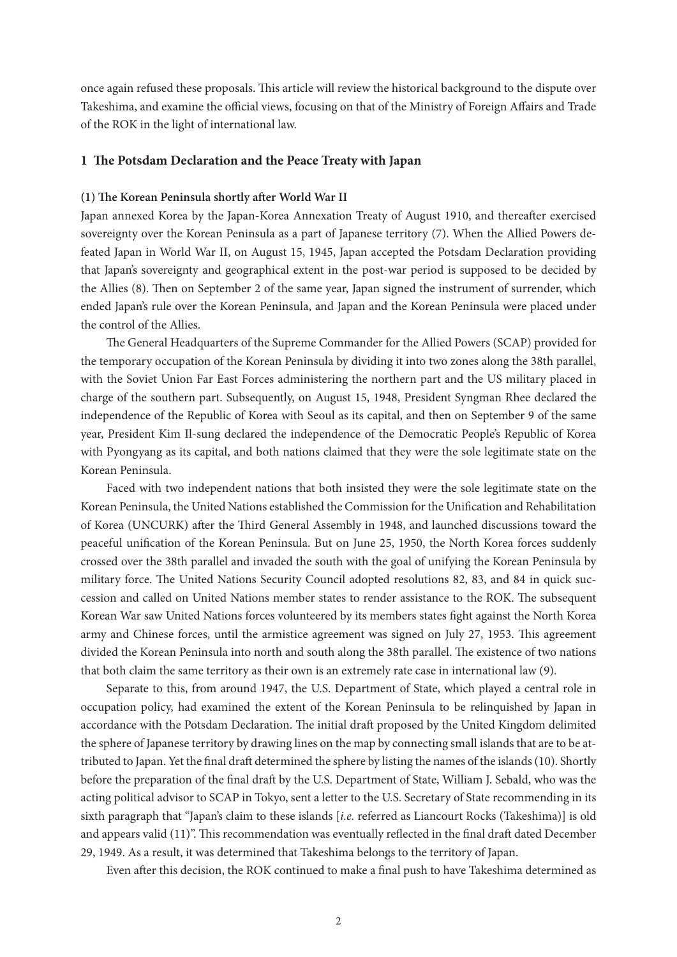once again refused these proposals. This article will review the historical background to the dispute over Takeshima, and examine the official views, focusing on that of the Ministry of Foreign Affairs and Trade of the ROK in the light of international law.

## **1 The Potsdam Declaration and the Peace Treaty with Japan**

#### **(1) The Korean Peninsula shortly after World War II**

Japan annexed Korea by the Japan-Korea Annexation Treaty of August 1910, and thereafter exercised sovereignty over the Korean Peninsula as a part of Japanese territory (7). When the Allied Powers defeated Japan in World War II, on August 15, 1945, Japan accepted the Potsdam Declaration providing that Japan's sovereignty and geographical extent in the post-war period is supposed to be decided by the Allies (8). Then on September 2 of the same year, Japan signed the instrument of surrender, which ended Japan's rule over the Korean Peninsula, and Japan and the Korean Peninsula were placed under the control of the Allies.

The General Headquarters of the Supreme Commander for the Allied Powers (SCAP) provided for the temporary occupation of the Korean Peninsula by dividing it into two zones along the 38th parallel, with the Soviet Union Far East Forces administering the northern part and the US military placed in charge of the southern part. Subsequently, on August 15, 1948, President Syngman Rhee declared the independence of the Republic of Korea with Seoul as its capital, and then on September 9 of the same year, President Kim Il-sung declared the independence of the Democratic People's Republic of Korea with Pyongyang as its capital, and both nations claimed that they were the sole legitimate state on the Korean Peninsula.

Faced with two independent nations that both insisted they were the sole legitimate state on the Korean Peninsula, the United Nations established the Commission for the Unification and Rehabilitation of Korea (UNCURK) after the Third General Assembly in 1948, and launched discussions toward the peaceful unification of the Korean Peninsula. But on June 25, 1950, the North Korea forces suddenly crossed over the 38th parallel and invaded the south with the goal of unifying the Korean Peninsula by military force. The United Nations Security Council adopted resolutions 82, 83, and 84 in quick succession and called on United Nations member states to render assistance to the ROK. The subsequent Korean War saw United Nations forces volunteered by its members states fight against the North Korea army and Chinese forces, until the armistice agreement was signed on July 27, 1953. This agreement divided the Korean Peninsula into north and south along the 38th parallel. The existence of two nations that both claim the same territory as their own is an extremely rate case in international law (9).

Separate to this, from around 1947, the U.S. Department of State, which played a central role in occupation policy, had examined the extent of the Korean Peninsula to be relinquished by Japan in accordance with the Potsdam Declaration. The initial draft proposed by the United Kingdom delimited the sphere of Japanese territory by drawing lines on the map by connecting small islands that are to be attributed to Japan. Yet the final draft determined the sphere by listing the names of the islands (10). Shortly before the preparation of the final draft by the U.S. Department of State, William J. Sebald, who was the acting political advisor to SCAP in Tokyo, sent a letter to the U.S. Secretary of State recommending in its sixth paragraph that "Japan's claim to these islands [*i.e.* referred as Liancourt Rocks (Takeshima)] is old and appears valid (11)". This recommendation was eventually reflected in the final draft dated December 29, 1949. As a result, it was determined that Takeshima belongs to the territory of Japan.

Even after this decision, the ROK continued to make a final push to have Takeshima determined as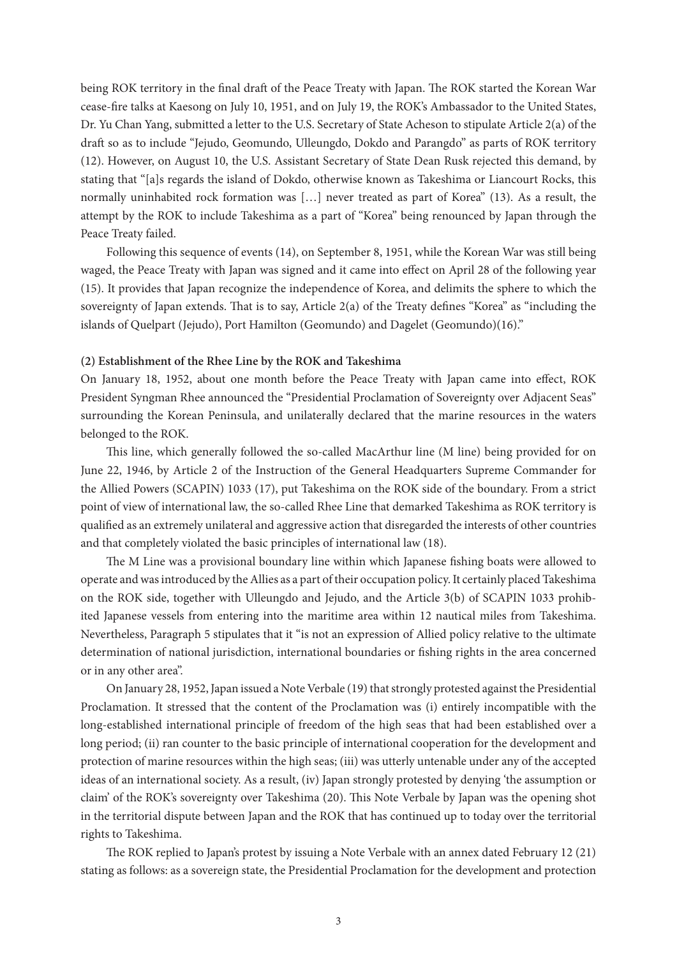being ROK territory in the final draft of the Peace Treaty with Japan. The ROK started the Korean War cease-fire talks at Kaesong on July 10, 1951, and on July 19, the ROK's Ambassador to the United States, Dr. Yu Chan Yang, submitted a letter to the U.S. Secretary of State Acheson to stipulate Article 2(a) of the draft so as to include "Jejudo, Geomundo, Ulleungdo, Dokdo and Parangdo" as parts of ROK territory (12). However, on August 10, the U.S. Assistant Secretary of State Dean Rusk rejected this demand, by stating that "[a]s regards the island of Dokdo, otherwise known as Takeshima or Liancourt Rocks, this normally uninhabited rock formation was […] never treated as part of Korea" (13). As a result, the attempt by the ROK to include Takeshima as a part of "Korea" being renounced by Japan through the Peace Treaty failed.

Following this sequence of events (14), on September 8, 1951, while the Korean War was still being waged, the Peace Treaty with Japan was signed and it came into effect on April 28 of the following year (15). It provides that Japan recognize the independence of Korea, and delimits the sphere to which the sovereignty of Japan extends. That is to say, Article 2(a) of the Treaty defines "Korea" as "including the islands of Quelpart (Jejudo), Port Hamilton (Geomundo) and Dagelet (Geomundo)(16)."

## **(2) Establishment of the Rhee Line by the ROK and Takeshima**

On January 18, 1952, about one month before the Peace Treaty with Japan came into effect, ROK President Syngman Rhee announced the "Presidential Proclamation of Sovereignty over Adjacent Seas" surrounding the Korean Peninsula, and unilaterally declared that the marine resources in the waters belonged to the ROK.

This line, which generally followed the so-called MacArthur line (M line) being provided for on June 22, 1946, by Article 2 of the Instruction of the General Headquarters Supreme Commander for the Allied Powers (SCAPIN) 1033 (17), put Takeshima on the ROK side of the boundary. From a strict point of view of international law, the so-called Rhee Line that demarked Takeshima as ROK territory is qualified as an extremely unilateral and aggressive action that disregarded the interests of other countries and that completely violated the basic principles of international law (18).

The M Line was a provisional boundary line within which Japanese fishing boats were allowed to operate and was introduced by the Allies as a part of their occupation policy. It certainly placed Takeshima on the ROK side, together with Ulleungdo and Jejudo, and the Article 3(b) of SCAPIN 1033 prohibited Japanese vessels from entering into the maritime area within 12 nautical miles from Takeshima. Nevertheless, Paragraph 5 stipulates that it "is not an expression of Allied policy relative to the ultimate determination of national jurisdiction, international boundaries or fishing rights in the area concerned or in any other area".

On January 28, 1952, Japan issued a Note Verbale (19) that strongly protested against the Presidential Proclamation. It stressed that the content of the Proclamation was (i) entirely incompatible with the long-established international principle of freedom of the high seas that had been established over a long period; (ii) ran counter to the basic principle of international cooperation for the development and protection of marine resources within the high seas; (iii) was utterly untenable under any of the accepted ideas of an international society. As a result, (iv) Japan strongly protested by denying 'the assumption or claim' of the ROK's sovereignty over Takeshima (20). This Note Verbale by Japan was the opening shot in the territorial dispute between Japan and the ROK that has continued up to today over the territorial rights to Takeshima.

The ROK replied to Japan's protest by issuing a Note Verbale with an annex dated February 12 (21) stating as follows: as a sovereign state, the Presidential Proclamation for the development and protection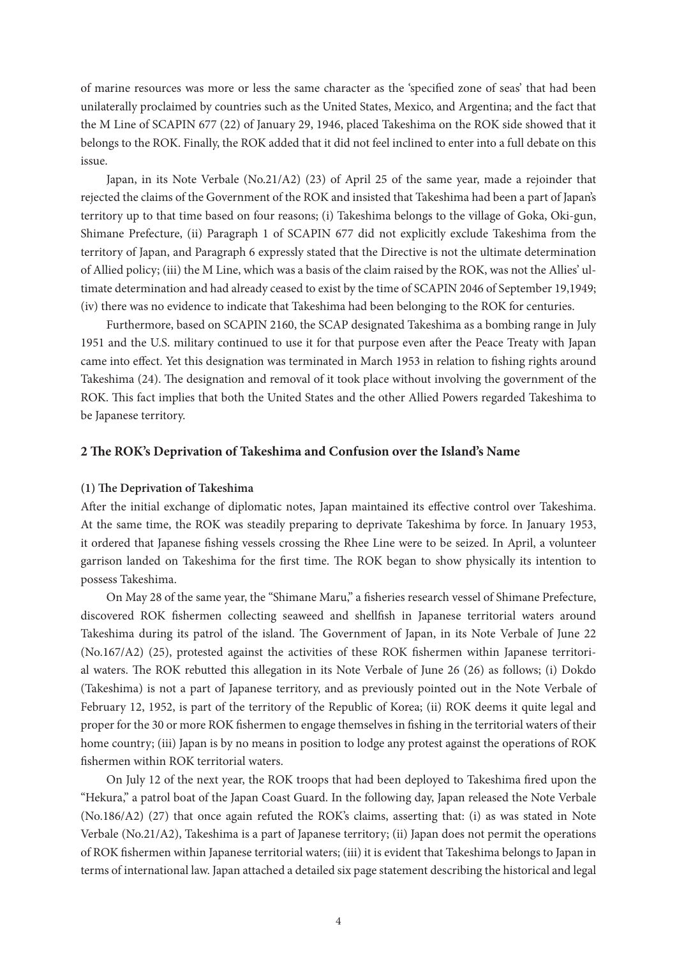of marine resources was more or less the same character as the 'specified zone of seas' that had been unilaterally proclaimed by countries such as the United States, Mexico, and Argentina; and the fact that the M Line of SCAPIN 677 (22) of January 29, 1946, placed Takeshima on the ROK side showed that it belongs to the ROK. Finally, the ROK added that it did not feel inclined to enter into a full debate on this issue.

Japan, in its Note Verbale (No.21/A2) (23) of April 25 of the same year, made a rejoinder that rejected the claims of the Government of the ROK and insisted that Takeshima had been a part of Japan's territory up to that time based on four reasons; (i) Takeshima belongs to the village of Goka, Oki-gun, Shimane Prefecture, (ii) Paragraph 1 of SCAPIN 677 did not explicitly exclude Takeshima from the territory of Japan, and Paragraph 6 expressly stated that the Directive is not the ultimate determination of Allied policy; (iii) the M Line, which was a basis of the claim raised by the ROK, was not the Allies' ultimate determination and had already ceased to exist by the time of SCAPIN 2046 of September 19,1949; (iv) there was no evidence to indicate that Takeshima had been belonging to the ROK for centuries.

Furthermore, based on SCAPIN 2160, the SCAP designated Takeshima as a bombing range in July 1951 and the U.S. military continued to use it for that purpose even after the Peace Treaty with Japan came into effect. Yet this designation was terminated in March 1953 in relation to fishing rights around Takeshima (24). The designation and removal of it took place without involving the government of the ROK. This fact implies that both the United States and the other Allied Powers regarded Takeshima to be Japanese territory.

## **2 The ROK's Deprivation of Takeshima and Confusion over the Island's Name**

#### **(1) The Deprivation of Takeshima**

After the initial exchange of diplomatic notes, Japan maintained its effective control over Takeshima. At the same time, the ROK was steadily preparing to deprivate Takeshima by force. In January 1953, it ordered that Japanese fishing vessels crossing the Rhee Line were to be seized. In April, a volunteer garrison landed on Takeshima for the first time. The ROK began to show physically its intention to possess Takeshima.

On May 28 of the same year, the "Shimane Maru," a fisheries research vessel of Shimane Prefecture, discovered ROK fishermen collecting seaweed and shellfish in Japanese territorial waters around Takeshima during its patrol of the island. The Government of Japan, in its Note Verbale of June 22 (No.167/A2) (25), protested against the activities of these ROK fishermen within Japanese territorial waters. The ROK rebutted this allegation in its Note Verbale of June 26 (26) as follows; (i) Dokdo (Takeshima) is not a part of Japanese territory, and as previously pointed out in the Note Verbale of February 12, 1952, is part of the territory of the Republic of Korea; (ii) ROK deems it quite legal and proper for the 30 or more ROK fishermen to engage themselves in fishing in the territorial waters of their home country; (iii) Japan is by no means in position to lodge any protest against the operations of ROK fishermen within ROK territorial waters.

On July 12 of the next year, the ROK troops that had been deployed to Takeshima fired upon the "Hekura," a patrol boat of the Japan Coast Guard. In the following day, Japan released the Note Verbale (No.186/A2) (27) that once again refuted the ROK's claims, asserting that: (i) as was stated in Note Verbale (No.21/A2), Takeshima is a part of Japanese territory; (ii) Japan does not permit the operations of ROK fishermen within Japanese territorial waters; (iii) it is evident that Takeshima belongs to Japan in terms of international law. Japan attached a detailed six page statement describing the historical and legal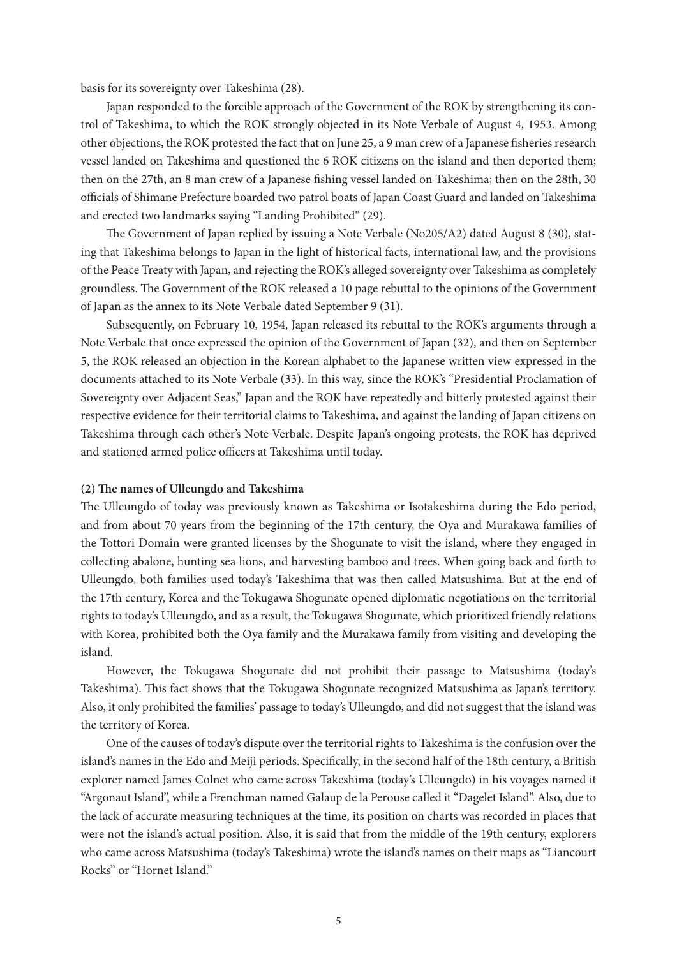basis for its sovereignty over Takeshima (28).

Japan responded to the forcible approach of the Government of the ROK by strengthening its control of Takeshima, to which the ROK strongly objected in its Note Verbale of August 4, 1953. Among other objections, the ROK protested the fact that on June 25, a 9 man crew of a Japanese fisheries research vessel landed on Takeshima and questioned the 6 ROK citizens on the island and then deported them; then on the 27th, an 8 man crew of a Japanese fishing vessel landed on Takeshima; then on the 28th, 30 officials of Shimane Prefecture boarded two patrol boats of Japan Coast Guard and landed on Takeshima and erected two landmarks saying "Landing Prohibited" (29).

The Government of Japan replied by issuing a Note Verbale (No205/A2) dated August 8 (30), stating that Takeshima belongs to Japan in the light of historical facts, international law, and the provisions of the Peace Treaty with Japan, and rejecting the ROK's alleged sovereignty over Takeshima as completely groundless. The Government of the ROK released a 10 page rebuttal to the opinions of the Government of Japan as the annex to its Note Verbale dated September 9 (31).

Subsequently, on February 10, 1954, Japan released its rebuttal to the ROK's arguments through a Note Verbale that once expressed the opinion of the Government of Japan (32), and then on September 5, the ROK released an objection in the Korean alphabet to the Japanese written view expressed in the documents attached to its Note Verbale (33). In this way, since the ROK's "Presidential Proclamation of Sovereignty over Adjacent Seas," Japan and the ROK have repeatedly and bitterly protested against their respective evidence for their territorial claims to Takeshima, and against the landing of Japan citizens on Takeshima through each other's Note Verbale. Despite Japan's ongoing protests, the ROK has deprived and stationed armed police officers at Takeshima until today.

## **(2) The names of Ulleungdo and Takeshima**

The Ulleungdo of today was previously known as Takeshima or Isotakeshima during the Edo period, and from about 70 years from the beginning of the 17th century, the Oya and Murakawa families of the Tottori Domain were granted licenses by the Shogunate to visit the island, where they engaged in collecting abalone, hunting sea lions, and harvesting bamboo and trees. When going back and forth to Ulleungdo, both families used today's Takeshima that was then called Matsushima. But at the end of the 17th century, Korea and the Tokugawa Shogunate opened diplomatic negotiations on the territorial rights to today's Ulleungdo, and as a result, the Tokugawa Shogunate, which prioritized friendly relations with Korea, prohibited both the Oya family and the Murakawa family from visiting and developing the island.

However, the Tokugawa Shogunate did not prohibit their passage to Matsushima (today's Takeshima). This fact shows that the Tokugawa Shogunate recognized Matsushima as Japan's territory. Also, it only prohibited the families' passage to today's Ulleungdo, and did not suggest that the island was the territory of Korea.

One of the causes of today's dispute over the territorial rights to Takeshima is the confusion over the island's names in the Edo and Meiji periods. Specifically, in the second half of the 18th century, a British explorer named James Colnet who came across Takeshima (today's Ulleungdo) in his voyages named it "Argonaut Island", while a Frenchman named Galaup de la Perouse called it "Dagelet Island". Also, due to the lack of accurate measuring techniques at the time, its position on charts was recorded in places that were not the island's actual position. Also, it is said that from the middle of the 19th century, explorers who came across Matsushima (today's Takeshima) wrote the island's names on their maps as "Liancourt Rocks" or "Hornet Island."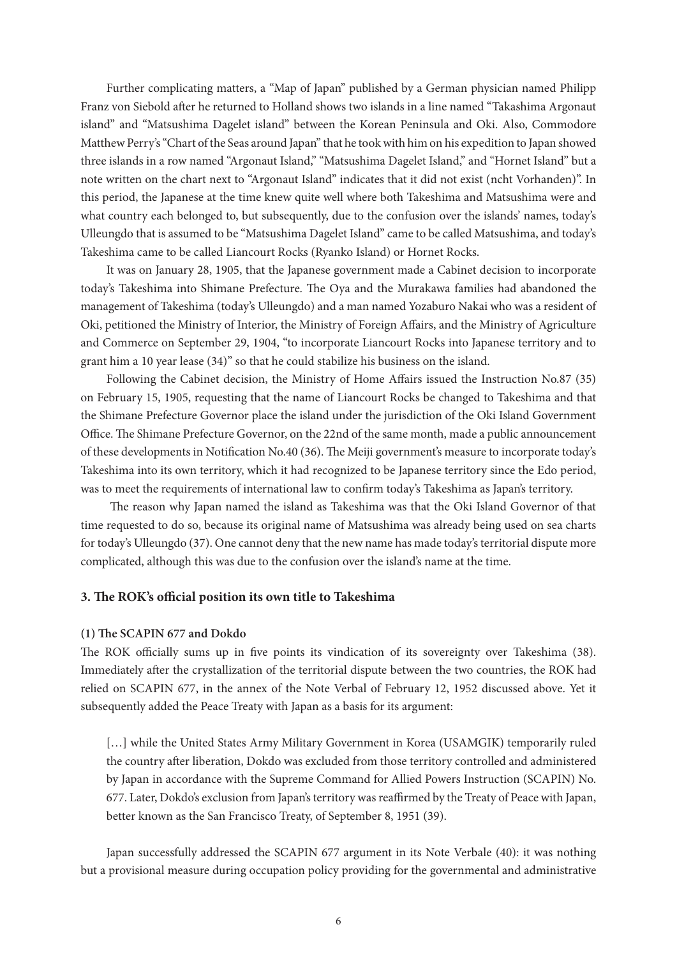Further complicating matters, a "Map of Japan" published by a German physician named Philipp Franz von Siebold after he returned to Holland shows two islands in a line named "Takashima Argonaut island" and "Matsushima Dagelet island" between the Korean Peninsula and Oki. Also, Commodore Matthew Perry's "Chart of the Seas around Japan" that he took with him on his expedition to Japan showed three islands in a row named "Argonaut Island," "Matsushima Dagelet Island," and "Hornet Island" but a note written on the chart next to "Argonaut Island" indicates that it did not exist (ncht Vorhanden)". In this period, the Japanese at the time knew quite well where both Takeshima and Matsushima were and what country each belonged to, but subsequently, due to the confusion over the islands' names, today's Ulleungdo that is assumed to be "Matsushima Dagelet Island" came to be called Matsushima, and today's Takeshima came to be called Liancourt Rocks (Ryanko Island) or Hornet Rocks.

It was on January 28, 1905, that the Japanese government made a Cabinet decision to incorporate today's Takeshima into Shimane Prefecture. The Oya and the Murakawa families had abandoned the management of Takeshima (today's Ulleungdo) and a man named Yozaburo Nakai who was a resident of Oki, petitioned the Ministry of Interior, the Ministry of Foreign Affairs, and the Ministry of Agriculture and Commerce on September 29, 1904, "to incorporate Liancourt Rocks into Japanese territory and to grant him a 10 year lease (34)" so that he could stabilize his business on the island.

Following the Cabinet decision, the Ministry of Home Affairs issued the Instruction No.87 (35) on February 15, 1905, requesting that the name of Liancourt Rocks be changed to Takeshima and that the Shimane Prefecture Governor place the island under the jurisdiction of the Oki Island Government Office. The Shimane Prefecture Governor, on the 22nd of the same month, made a public announcement of these developments in Notification No.40 (36). The Meiji government's measure to incorporate today's Takeshima into its own territory, which it had recognized to be Japanese territory since the Edo period, was to meet the requirements of international law to confirm today's Takeshima as Japan's territory.

 The reason why Japan named the island as Takeshima was that the Oki Island Governor of that time requested to do so, because its original name of Matsushima was already being used on sea charts for today's Ulleungdo (37). One cannot deny that the new name has made today's territorial dispute more complicated, although this was due to the confusion over the island's name at the time.

## **3. The ROK's official position its own title to Takeshima**

#### **(1) The SCAPIN 677 and Dokdo**

The ROK officially sums up in five points its vindication of its sovereignty over Takeshima (38). Immediately after the crystallization of the territorial dispute between the two countries, the ROK had relied on SCAPIN 677, in the annex of the Note Verbal of February 12, 1952 discussed above. Yet it subsequently added the Peace Treaty with Japan as a basis for its argument:

[...] while the United States Army Military Government in Korea (USAMGIK) temporarily ruled the country after liberation, Dokdo was excluded from those territory controlled and administered by Japan in accordance with the Supreme Command for Allied Powers Instruction (SCAPIN) No. 677. Later, Dokdo's exclusion from Japan's territory was reaffirmed by the Treaty of Peace with Japan, better known as the San Francisco Treaty, of September 8, 1951 (39).

Japan successfully addressed the SCAPIN 677 argument in its Note Verbale (40): it was nothing but a provisional measure during occupation policy providing for the governmental and administrative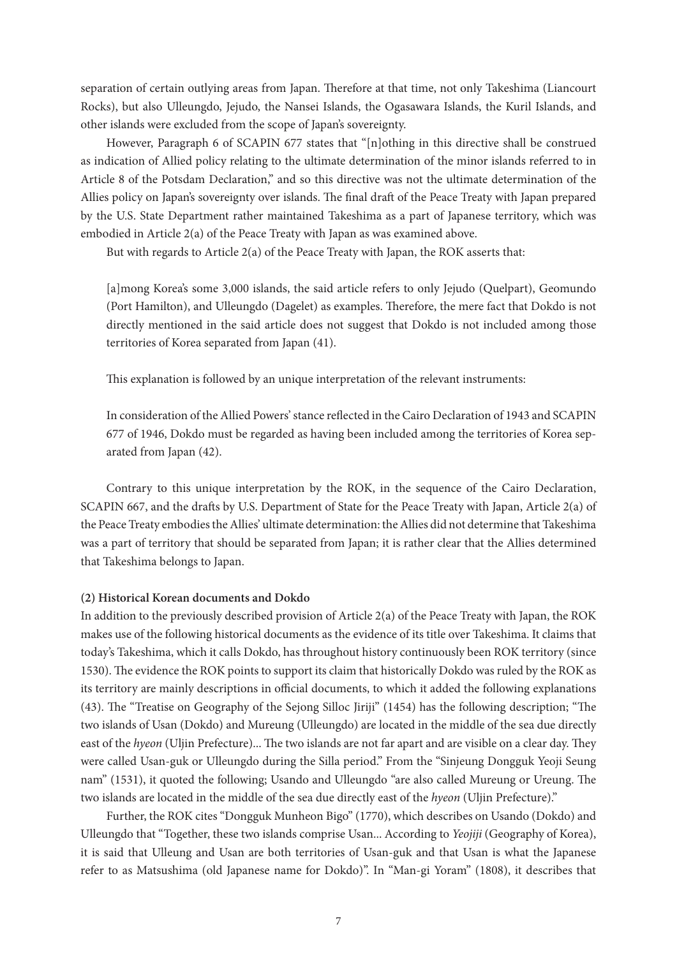separation of certain outlying areas from Japan. Therefore at that time, not only Takeshima (Liancourt Rocks), but also Ulleungdo, Jejudo, the Nansei Islands, the Ogasawara Islands, the Kuril Islands, and other islands were excluded from the scope of Japan's sovereignty.

However, Paragraph 6 of SCAPIN 677 states that "[n]othing in this directive shall be construed as indication of Allied policy relating to the ultimate determination of the minor islands referred to in Article 8 of the Potsdam Declaration," and so this directive was not the ultimate determination of the Allies policy on Japan's sovereignty over islands. The final draft of the Peace Treaty with Japan prepared by the U.S. State Department rather maintained Takeshima as a part of Japanese territory, which was embodied in Article 2(a) of the Peace Treaty with Japan as was examined above.

But with regards to Article 2(a) of the Peace Treaty with Japan, the ROK asserts that:

[a]mong Korea's some 3,000 islands, the said article refers to only Jejudo (Quelpart), Geomundo (Port Hamilton), and Ulleungdo (Dagelet) as examples. Therefore, the mere fact that Dokdo is not directly mentioned in the said article does not suggest that Dokdo is not included among those territories of Korea separated from Japan (41).

This explanation is followed by an unique interpretation of the relevant instruments:

In consideration of the Allied Powers' stance reflected in the Cairo Declaration of 1943 and SCAPIN 677 of 1946, Dokdo must be regarded as having been included among the territories of Korea separated from Japan (42).

Contrary to this unique interpretation by the ROK, in the sequence of the Cairo Declaration, SCAPIN 667, and the drafts by U.S. Department of State for the Peace Treaty with Japan, Article 2(a) of the Peace Treaty embodies the Allies' ultimate determination: the Allies did not determine that Takeshima was a part of territory that should be separated from Japan; it is rather clear that the Allies determined that Takeshima belongs to Japan.

# **(2) Historical Korean documents and Dokdo**

In addition to the previously described provision of Article 2(a) of the Peace Treaty with Japan, the ROK makes use of the following historical documents as the evidence of its title over Takeshima. It claims that today's Takeshima, which it calls Dokdo, has throughout history continuously been ROK territory (since 1530). The evidence the ROK points to support its claim that historically Dokdo was ruled by the ROK as its territory are mainly descriptions in official documents, to which it added the following explanations (43). The "Treatise on Geography of the Sejong Silloc Jiriji" (1454) has the following description; "The two islands of Usan (Dokdo) and Mureung (Ulleungdo) are located in the middle of the sea due directly east of the *hyeon* (Uljin Prefecture)... The two islands are not far apart and are visible on a clear day. They were called Usan-guk or Ulleungdo during the Silla period." From the "Sinjeung Dongguk Yeoji Seung nam" (1531), it quoted the following; Usando and Ulleungdo "are also called Mureung or Ureung. The two islands are located in the middle of the sea due directly east of the *hyeon* (Uljin Prefecture)."

Further, the ROK cites "Dongguk Munheon Bigo" (1770), which describes on Usando (Dokdo) and Ulleungdo that "Together, these two islands comprise Usan... According to *Yeojiji* (Geography of Korea), it is said that Ulleung and Usan are both territories of Usan-guk and that Usan is what the Japanese refer to as Matsushima (old Japanese name for Dokdo)". In "Man-gi Yoram" (1808), it describes that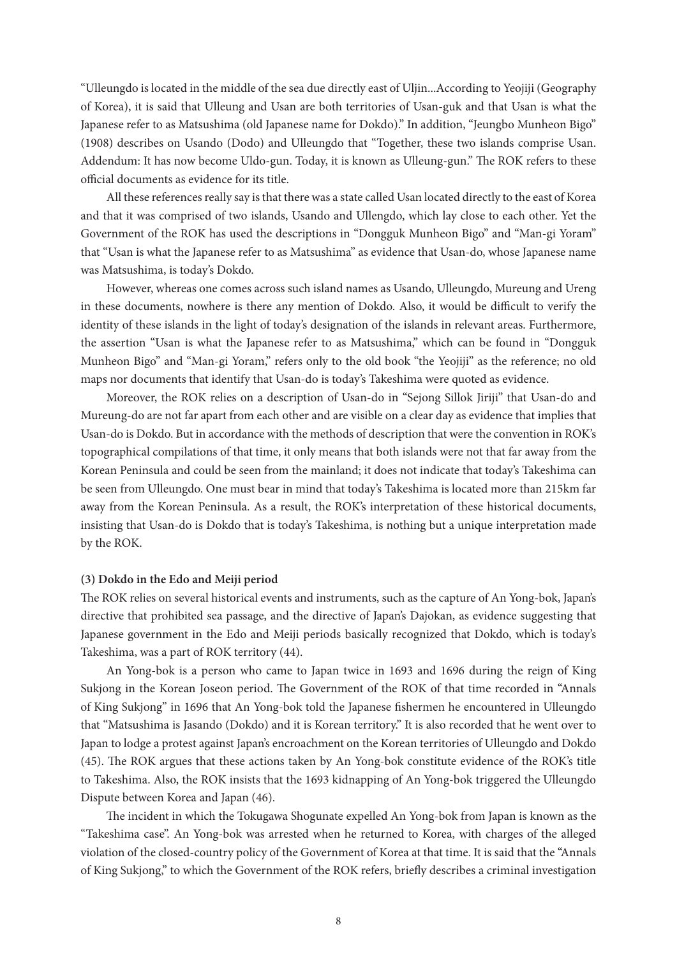"Ulleungdo is located in the middle of the sea due directly east of Uljin...According to Yeojiji (Geography of Korea), it is said that Ulleung and Usan are both territories of Usan-guk and that Usan is what the Japanese refer to as Matsushima (old Japanese name for Dokdo)." In addition, "Jeungbo Munheon Bigo" (1908) describes on Usando (Dodo) and Ulleungdo that "Together, these two islands comprise Usan. Addendum: It has now become Uldo-gun. Today, it is known as Ulleung-gun." The ROK refers to these official documents as evidence for its title.

All these references really say is that there was a state called Usan located directly to the east of Korea and that it was comprised of two islands, Usando and Ullengdo, which lay close to each other. Yet the Government of the ROK has used the descriptions in "Dongguk Munheon Bigo" and "Man-gi Yoram" that "Usan is what the Japanese refer to as Matsushima" as evidence that Usan-do, whose Japanese name was Matsushima, is today's Dokdo.

However, whereas one comes across such island names as Usando, Ulleungdo, Mureung and Ureng in these documents, nowhere is there any mention of Dokdo. Also, it would be difficult to verify the identity of these islands in the light of today's designation of the islands in relevant areas. Furthermore, the assertion "Usan is what the Japanese refer to as Matsushima," which can be found in "Dongguk Munheon Bigo" and "Man-gi Yoram," refers only to the old book "the Yeojiji" as the reference; no old maps nor documents that identify that Usan-do is today's Takeshima were quoted as evidence.

Moreover, the ROK relies on a description of Usan-do in "Sejong Sillok Jiriji" that Usan-do and Mureung-do are not far apart from each other and are visible on a clear day as evidence that implies that Usan-do is Dokdo. But in accordance with the methods of description that were the convention in ROK's topographical compilations of that time, it only means that both islands were not that far away from the Korean Peninsula and could be seen from the mainland; it does not indicate that today's Takeshima can be seen from Ulleungdo. One must bear in mind that today's Takeshima is located more than 215km far away from the Korean Peninsula. As a result, the ROK's interpretation of these historical documents, insisting that Usan-do is Dokdo that is today's Takeshima, is nothing but a unique interpretation made by the ROK.

## **(3) Dokdo in the Edo and Meiji period**

The ROK relies on several historical events and instruments, such as the capture of An Yong-bok, Japan's directive that prohibited sea passage, and the directive of Japan's Dajokan, as evidence suggesting that Japanese government in the Edo and Meiji periods basically recognized that Dokdo, which is today's Takeshima, was a part of ROK territory (44).

An Yong-bok is a person who came to Japan twice in 1693 and 1696 during the reign of King Sukjong in the Korean Joseon period. The Government of the ROK of that time recorded in "Annals of King Sukjong" in 1696 that An Yong-bok told the Japanese fishermen he encountered in Ulleungdo that "Matsushima is Jasando (Dokdo) and it is Korean territory." It is also recorded that he went over to Japan to lodge a protest against Japan's encroachment on the Korean territories of Ulleungdo and Dokdo (45). The ROK argues that these actions taken by An Yong-bok constitute evidence of the ROK's title to Takeshima. Also, the ROK insists that the 1693 kidnapping of An Yong-bok triggered the Ulleungdo Dispute between Korea and Japan (46).

The incident in which the Tokugawa Shogunate expelled An Yong-bok from Japan is known as the "Takeshima case". An Yong-bok was arrested when he returned to Korea, with charges of the alleged violation of the closed-country policy of the Government of Korea at that time. It is said that the "Annals of King Sukjong," to which the Government of the ROK refers, briefly describes a criminal investigation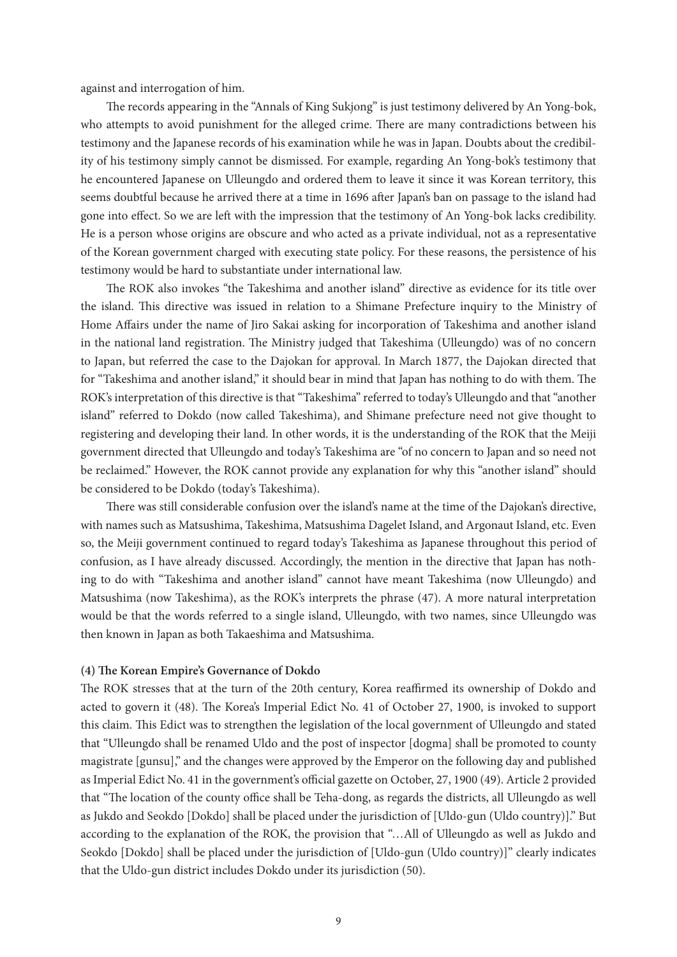against and interrogation of him.

The records appearing in the "Annals of King Sukjong" is just testimony delivered by An Yong-bok, who attempts to avoid punishment for the alleged crime. There are many contradictions between his testimony and the Japanese records of his examination while he was in Japan. Doubts about the credibility of his testimony simply cannot be dismissed. For example, regarding An Yong-bok's testimony that he encountered Japanese on Ulleungdo and ordered them to leave it since it was Korean territory, this seems doubtful because he arrived there at a time in 1696 after Japan's ban on passage to the island had gone into effect. So we are left with the impression that the testimony of An Yong-bok lacks credibility. He is a person whose origins are obscure and who acted as a private individual, not as a representative of the Korean government charged with executing state policy. For these reasons, the persistence of his testimony would be hard to substantiate under international law.

The ROK also invokes "the Takeshima and another island" directive as evidence for its title over the island. This directive was issued in relation to a Shimane Prefecture inquiry to the Ministry of Home Affairs under the name of Jiro Sakai asking for incorporation of Takeshima and another island in the national land registration. The Ministry judged that Takeshima (Ulleungdo) was of no concern to Japan, but referred the case to the Dajokan for approval. In March 1877, the Dajokan directed that for "Takeshima and another island," it should bear in mind that Japan has nothing to do with them. The ROK's interpretation of this directive is that "Takeshima" referred to today's Ulleungdo and that "another island" referred to Dokdo (now called Takeshima), and Shimane prefecture need not give thought to registering and developing their land. In other words, it is the understanding of the ROK that the Meiji government directed that Ulleungdo and today's Takeshima are "of no concern to Japan and so need not be reclaimed." However, the ROK cannot provide any explanation for why this "another island" should be considered to be Dokdo (today's Takeshima).

There was still considerable confusion over the island's name at the time of the Dajokan's directive, with names such as Matsushima, Takeshima, Matsushima Dagelet Island, and Argonaut Island, etc. Even so, the Meiji government continued to regard today's Takeshima as Japanese throughout this period of confusion, as I have already discussed. Accordingly, the mention in the directive that Japan has nothing to do with "Takeshima and another island" cannot have meant Takeshima (now Ulleungdo) and Matsushima (now Takeshima), as the ROK's interprets the phrase (47). A more natural interpretation would be that the words referred to a single island, Ulleungdo, with two names, since Ulleungdo was then known in Japan as both Takaeshima and Matsushima.

### **(4) The Korean Empire's Governance of Dokdo**

The ROK stresses that at the turn of the 20th century, Korea reaffirmed its ownership of Dokdo and acted to govern it (48). The Korea's Imperial Edict No. 41 of October 27, 1900, is invoked to support this claim. This Edict was to strengthen the legislation of the local government of Ulleungdo and stated that "Ulleungdo shall be renamed Uldo and the post of inspector [dogma] shall be promoted to county magistrate [gunsu]," and the changes were approved by the Emperor on the following day and published as Imperial Edict No. 41 in the government's official gazette on October, 27, 1900 (49). Article 2 provided that "The location of the county office shall be Teha-dong, as regards the districts, all Ulleungdo as well as Jukdo and Seokdo [Dokdo] shall be placed under the jurisdiction of [Uldo-gun (Uldo country)]." But according to the explanation of the ROK, the provision that "…All of Ulleungdo as well as Jukdo and Seokdo [Dokdo] shall be placed under the jurisdiction of [Uldo-gun (Uldo country)]" clearly indicates that the Uldo-gun district includes Dokdo under its jurisdiction (50).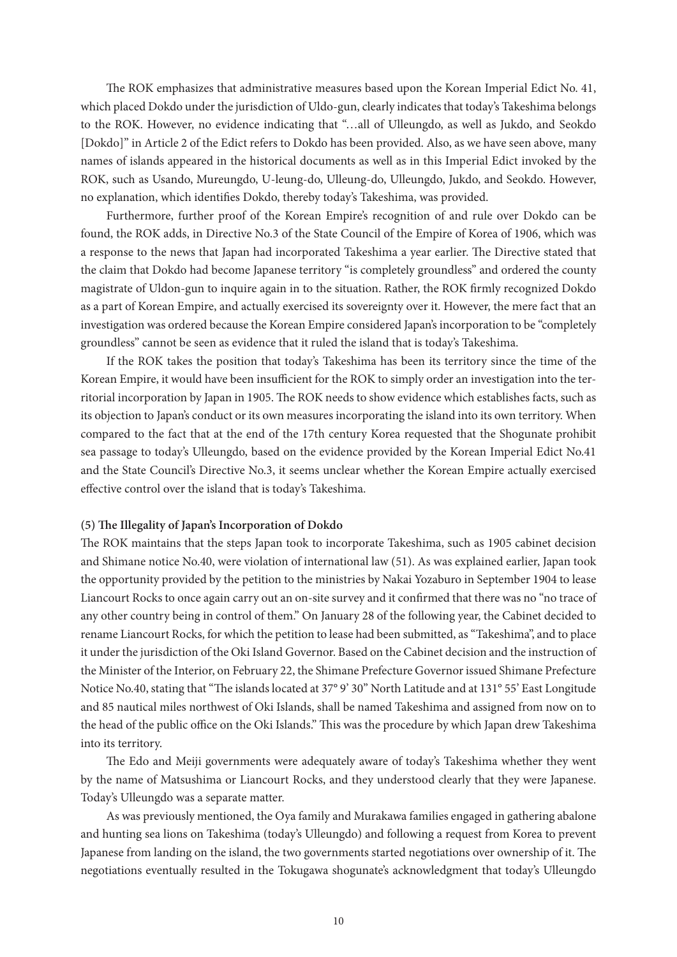The ROK emphasizes that administrative measures based upon the Korean Imperial Edict No. 41, which placed Dokdo under the jurisdiction of Uldo-gun, clearly indicates that today's Takeshima belongs to the ROK. However, no evidence indicating that "…all of Ulleungdo, as well as Jukdo, and Seokdo [Dokdo]" in Article 2 of the Edict refers to Dokdo has been provided. Also, as we have seen above, many names of islands appeared in the historical documents as well as in this Imperial Edict invoked by the ROK, such as Usando, Mureungdo, U-leung-do, Ulleung-do, Ulleungdo, Jukdo, and Seokdo. However, no explanation, which identifies Dokdo, thereby today's Takeshima, was provided.

Furthermore, further proof of the Korean Empire's recognition of and rule over Dokdo can be found, the ROK adds, in Directive No.3 of the State Council of the Empire of Korea of 1906, which was a response to the news that Japan had incorporated Takeshima a year earlier. The Directive stated that the claim that Dokdo had become Japanese territory "is completely groundless" and ordered the county magistrate of Uldon-gun to inquire again in to the situation. Rather, the ROK firmly recognized Dokdo as a part of Korean Empire, and actually exercised its sovereignty over it. However, the mere fact that an investigation was ordered because the Korean Empire considered Japan's incorporation to be "completely groundless" cannot be seen as evidence that it ruled the island that is today's Takeshima.

If the ROK takes the position that today's Takeshima has been its territory since the time of the Korean Empire, it would have been insufficient for the ROK to simply order an investigation into the territorial incorporation by Japan in 1905. The ROK needs to show evidence which establishes facts, such as its objection to Japan's conduct or its own measures incorporating the island into its own territory. When compared to the fact that at the end of the 17th century Korea requested that the Shogunate prohibit sea passage to today's Ulleungdo, based on the evidence provided by the Korean Imperial Edict No.41 and the State Council's Directive No.3, it seems unclear whether the Korean Empire actually exercised effective control over the island that is today's Takeshima.

#### **(5) The Illegality of Japan's Incorporation of Dokdo**

The ROK maintains that the steps Japan took to incorporate Takeshima, such as 1905 cabinet decision and Shimane notice No.40, were violation of international law (51). As was explained earlier, Japan took the opportunity provided by the petition to the ministries by Nakai Yozaburo in September 1904 to lease Liancourt Rocks to once again carry out an on-site survey and it confirmed that there was no "no trace of any other country being in control of them." On January 28 of the following year, the Cabinet decided to rename Liancourt Rocks, for which the petition to lease had been submitted, as "Takeshima", and to place it under the jurisdiction of the Oki Island Governor. Based on the Cabinet decision and the instruction of the Minister of the Interior, on February 22, the Shimane Prefecture Governor issued Shimane Prefecture Notice No.40, stating that "The islands located at 37° 9' 30" North Latitude and at 131° 55' East Longitude and 85 nautical miles northwest of Oki Islands, shall be named Takeshima and assigned from now on to the head of the public office on the Oki Islands." This was the procedure by which Japan drew Takeshima into its territory.

The Edo and Meiji governments were adequately aware of today's Takeshima whether they went by the name of Matsushima or Liancourt Rocks, and they understood clearly that they were Japanese. Today's Ulleungdo was a separate matter.

As was previously mentioned, the Oya family and Murakawa families engaged in gathering abalone and hunting sea lions on Takeshima (today's Ulleungdo) and following a request from Korea to prevent Japanese from landing on the island, the two governments started negotiations over ownership of it. The negotiations eventually resulted in the Tokugawa shogunate's acknowledgment that today's Ulleungdo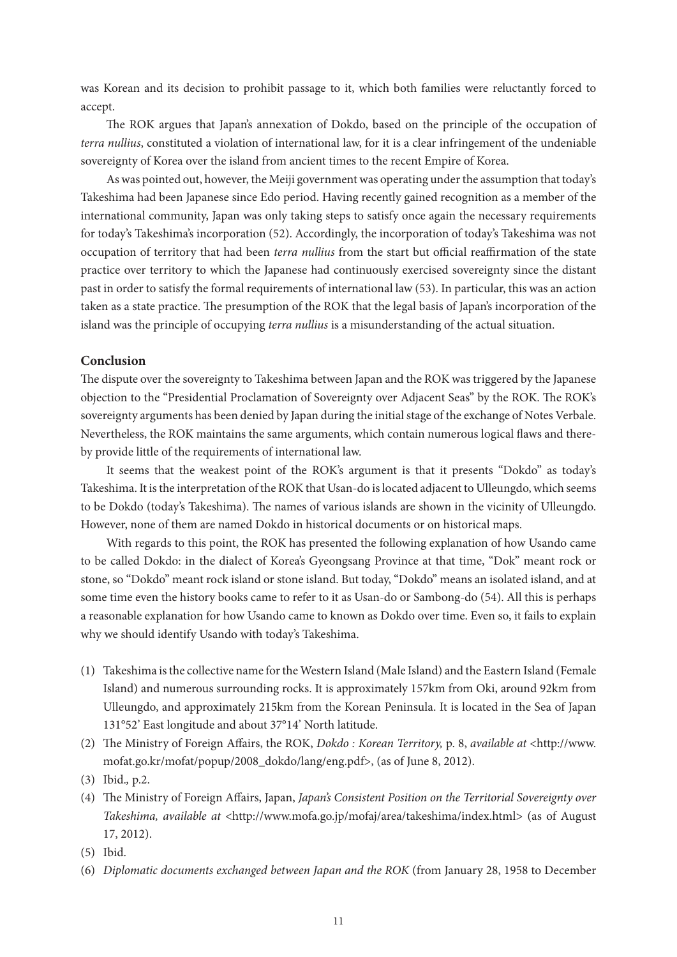was Korean and its decision to prohibit passage to it, which both families were reluctantly forced to accept.

The ROK argues that Japan's annexation of Dokdo, based on the principle of the occupation of *terra nullius*, constituted a violation of international law, for it is a clear infringement of the undeniable sovereignty of Korea over the island from ancient times to the recent Empire of Korea.

As was pointed out, however, the Meiji government was operating under the assumption that today's Takeshima had been Japanese since Edo period. Having recently gained recognition as a member of the international community, Japan was only taking steps to satisfy once again the necessary requirements for today's Takeshima's incorporation (52). Accordingly, the incorporation of today's Takeshima was not occupation of territory that had been *terra nullius* from the start but official reaffirmation of the state practice over territory to which the Japanese had continuously exercised sovereignty since the distant past in order to satisfy the formal requirements of international law (53). In particular, this was an action taken as a state practice. The presumption of the ROK that the legal basis of Japan's incorporation of the island was the principle of occupying *terra nullius* is a misunderstanding of the actual situation.

## **Conclusion**

The dispute over the sovereignty to Takeshima between Japan and the ROK was triggered by the Japanese objection to the "Presidential Proclamation of Sovereignty over Adjacent Seas" by the ROK. The ROK's sovereignty arguments has been denied by Japan during the initial stage of the exchange of Notes Verbale. Nevertheless, the ROK maintains the same arguments, which contain numerous logical flaws and thereby provide little of the requirements of international law.

It seems that the weakest point of the ROK's argument is that it presents "Dokdo" as today's Takeshima. It is the interpretation of the ROK that Usan-do is located adjacent to Ulleungdo, which seems to be Dokdo (today's Takeshima). The names of various islands are shown in the vicinity of Ulleungdo. However, none of them are named Dokdo in historical documents or on historical maps.

With regards to this point, the ROK has presented the following explanation of how Usando came to be called Dokdo: in the dialect of Korea's Gyeongsang Province at that time, "Dok" meant rock or stone, so "Dokdo" meant rock island or stone island. But today, "Dokdo" means an isolated island, and at some time even the history books came to refer to it as Usan-do or Sambong-do (54). All this is perhaps a reasonable explanation for how Usando came to known as Dokdo over time. Even so, it fails to explain why we should identify Usando with today's Takeshima.

- (1) Takeshima is the collective name for the Western Island (Male Island) and the Eastern Island (Female Island) and numerous surrounding rocks. It is approximately 157km from Oki, around 92km from Ulleungdo, and approximately 215km from the Korean Peninsula. It is located in the Sea of Japan 131°52' East longitude and about 37°14' North latitude.
- (2) The Ministry of Foreign Affairs, the ROK, *Dokdo : Korean Territory,* p. 8, *available at* <http://www. mofat.go.kr/mofat/popup/2008\_dokdo/lang/eng.pdf>, (as of June 8, 2012).
- (3) Ibid.*,* p.2.
- (4) The Ministry of Foreign Affairs, Japan, *Japan's Consistent Position on the Territorial Sovereignty over Takeshima, available at* <http://www.mofa.go.jp/mofaj/area/takeshima/index.html> (as of August 17, 2012).
- (5) Ibid.
- (6) *Diplomatic documents exchanged between Japan and the ROK* (from January 28, 1958 to December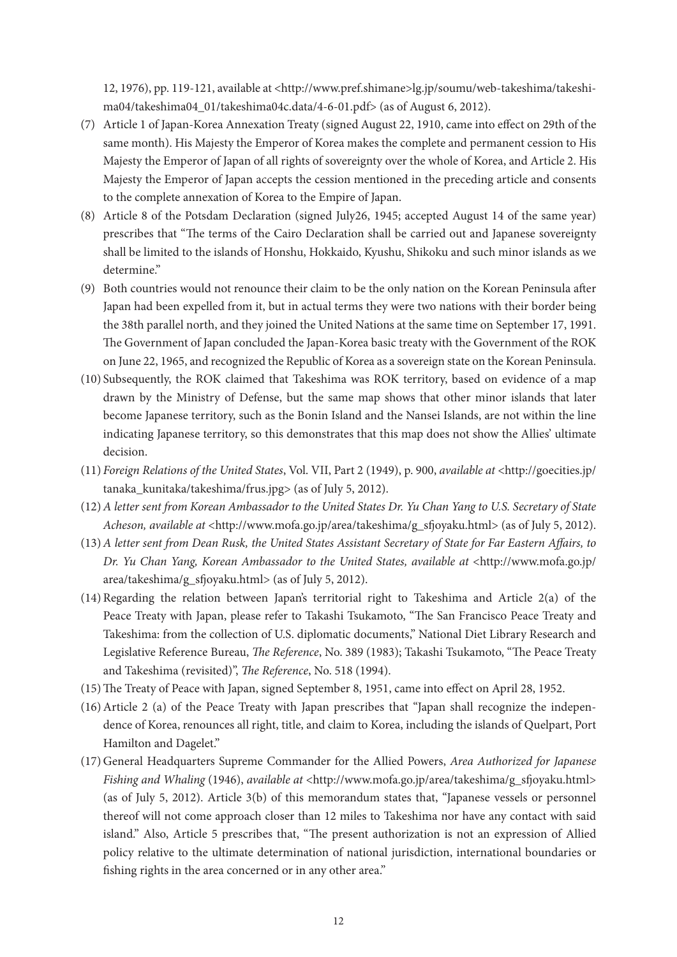12, 1976), pp. 119-121, available at <http://www.pref.shimane>lg.jp/soumu/web-takeshima/takeshima04/takeshima04\_01/takeshima04c.data/4-6-01.pdf> (as of August 6, 2012).

- (7) Article 1 of Japan-Korea Annexation Treaty (signed August 22, 1910, came into effect on 29th of the same month). His Majesty the Emperor of Korea makes the complete and permanent cession to His Majesty the Emperor of Japan of all rights of sovereignty over the whole of Korea, and Article 2. His Majesty the Emperor of Japan accepts the cession mentioned in the preceding article and consents to the complete annexation of Korea to the Empire of Japan.
- (8) Article 8 of the Potsdam Declaration (signed July26, 1945; accepted August 14 of the same year) prescribes that "The terms of the Cairo Declaration shall be carried out and Japanese sovereignty shall be limited to the islands of Honshu, Hokkaido, Kyushu, Shikoku and such minor islands as we determine."
- (9) Both countries would not renounce their claim to be the only nation on the Korean Peninsula after Japan had been expelled from it, but in actual terms they were two nations with their border being the 38th parallel north, and they joined the United Nations at the same time on September 17, 1991. The Government of Japan concluded the Japan-Korea basic treaty with the Government of the ROK on June 22, 1965, and recognized the Republic of Korea as a sovereign state on the Korean Peninsula.
- (10) Subsequently, the ROK claimed that Takeshima was ROK territory, based on evidence of a map drawn by the Ministry of Defense, but the same map shows that other minor islands that later become Japanese territory, such as the Bonin Island and the Nansei Islands, are not within the line indicating Japanese territory, so this demonstrates that this map does not show the Allies' ultimate decision.
- (11) *Foreign Relations of the United States*, Vol. VII, Part 2 (1949), p. 900, *available at* <http://goecities.jp/ tanaka\_kunitaka/takeshima/frus.jpg> (as of July 5, 2012).
- (12)*A letter sent from Korean Ambassador to the United States Dr. Yu Chan Yang to U.S. Secretary of State Acheson, available at* <http://www.mofa.go.jp/area/takeshima/g\_sfjoyaku.html> (as of July 5, 2012).
- (13)*A letter sent from Dean Rusk, the United States Assistant Secretary of State for Far Eastern Affairs, to Dr. Yu Chan Yang, Korean Ambassador to the United States, available at* <http://www.mofa.go.jp/ area/takeshima/g\_sfjoyaku.html> (as of July 5, 2012).
- $(14)$ Regarding the relation between Japan's territorial right to Takeshima and Article  $2(a)$  of the Peace Treaty with Japan, please refer to Takashi Tsukamoto, "The San Francisco Peace Treaty and Takeshima: from the collection of U.S. diplomatic documents," National Diet Library Research and Legislative Reference Bureau, *The Reference*, No. 389 (1983); Takashi Tsukamoto, "The Peace Treaty and Takeshima (revisited)", *The Reference*, No. 518 (1994).
- (15)The Treaty of Peace with Japan, signed September 8, 1951, came into effect on April 28, 1952.
- (16)Article 2 (a) of the Peace Treaty with Japan prescribes that "Japan shall recognize the independence of Korea, renounces all right, title, and claim to Korea, including the islands of Quelpart, Port Hamilton and Dagelet."
- (17) General Headquarters Supreme Commander for the Allied Powers, *Area Authorized for Japanese Fishing and Whaling* (1946), *available at* <http://www.mofa.go.jp/area/takeshima/g\_sfjoyaku.html> (as of July 5, 2012). Article 3(b) of this memorandum states that, "Japanese vessels or personnel thereof will not come approach closer than 12 miles to Takeshima nor have any contact with said island." Also, Article 5 prescribes that, "The present authorization is not an expression of Allied policy relative to the ultimate determination of national jurisdiction, international boundaries or fishing rights in the area concerned or in any other area."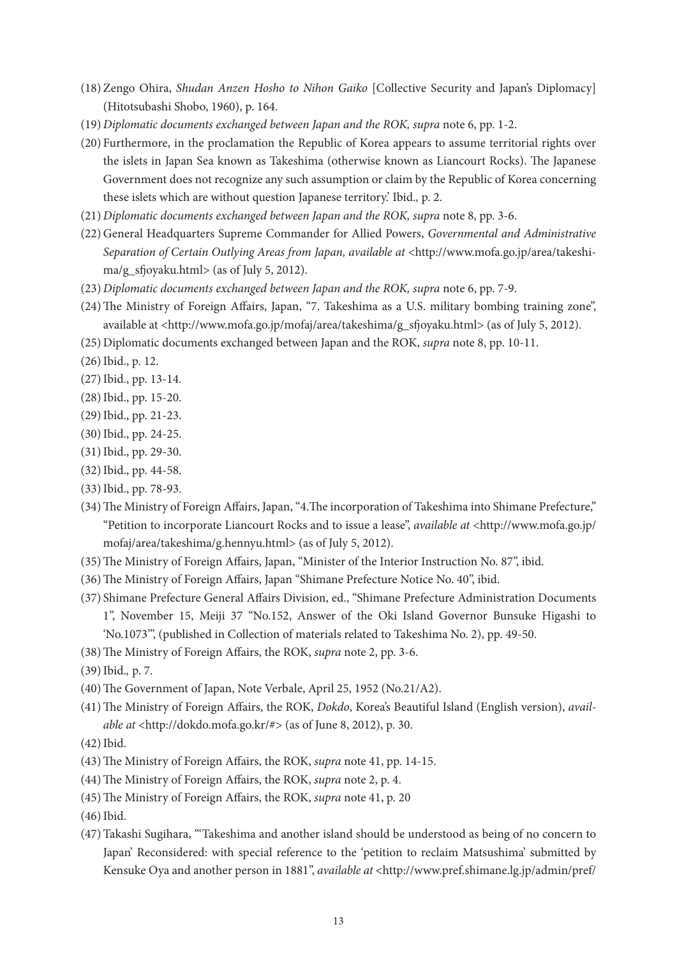- (18) Zengo Ohira, *Shudan Anzen Hosho to Nihon Gaiko* [Collective Security and Japan's Diplomacy] (Hitotsubashi Shobo, 1960), p. 164.
- (19) *Diplomatic documents exchanged between Japan and the ROK, supra* note 6, pp. 1-2.
- (20) Furthermore, in the proclamation the Republic of Korea appears to assume territorial rights over the islets in Japan Sea known as Takeshima (otherwise known as Liancourt Rocks). The Japanese Government does not recognize any such assumption or claim by the Republic of Korea concerning these islets which are without question Japanese territory.' Ibid.*,* p. 2.
- (21) *Diplomatic documents exchanged between Japan and the ROK, supra* note 8, pp. 3-6.
- (22) General Headquarters Supreme Commander for Allied Powers, *Governmental and Administrative*  Separation of Certain Outlying Areas from Japan, available at <http://www.mofa.go.jp/area/takeshima/g\_sfjoyaku.html> (as of July 5, 2012).
- (23) *Diplomatic documents exchanged between Japan and the ROK, supra* note 6, pp. 7-9.
- (24)The Ministry of Foreign Affairs, Japan, "7. Takeshima as a U.S. military bombing training zone", available at <http://www.mofa.go.jp/mofaj/area/takeshima/g\_sfjoyaku.html> (as of July 5, 2012).
- (25) Diplomatic documents exchanged between Japan and the ROK, *supra* note 8, pp. 10-11.
- (26)Ibid., p. 12.
- (27)Ibid., pp. 13-14.
- (28)Ibid., pp. 15-20.
- (29)Ibid., pp. 21-23.
- (30)Ibid., pp. 24-25.
- (31)Ibid., pp. 29-30.
- (32)Ibid., pp. 44-58.
- (33)Ibid., pp. 78-93.
- (34)The Ministry of Foreign Affairs, Japan, "4.The incorporation of Takeshima into Shimane Prefecture," "Petition to incorporate Liancourt Rocks and to issue a lease", *available at* <http://www.mofa.go.jp/ mofaj/area/takeshima/g.hennyu.html> (as of July 5, 2012).
- (35)The Ministry of Foreign Affairs, Japan, "Minister of the Interior Instruction No. 87", ibid.
- (36)The Ministry of Foreign Affairs, Japan "Shimane Prefecture Notice No. 40", ibid.
- (37) Shimane Prefecture General Affairs Division, ed., "Shimane Prefecture Administration Documents 1", November 15, Meiji 37 "No.152, Answer of the Oki Island Governor Bunsuke Higashi to 'No.1073'", (published in Collection of materials related to Takeshima No. 2), pp. 49-50.
- (38)The Ministry of Foreign Affairs, the ROK, *supra* note 2, pp. 3-6.
- (39)Ibid.*,* p. 7.
- (40)The Government of Japan, Note Verbale, April 25, 1952 (No.21/A2).
- (41)The Ministry of Foreign Affairs, the ROK, *Dokdo*, Korea's Beautiful Island (English version), *available at* <http://dokdo.mofa.go.kr/#> (as of June 8, 2012), p. 30.
- $(42)$  Ibid.
- (43)The Ministry of Foreign Affairs, the ROK, *supra* note 41, pp. 14-15.
- (44)The Ministry of Foreign Affairs, the ROK, *supra* note 2, p. 4.
- (45)The Ministry of Foreign Affairs, the ROK, *supra* note 41, p. 20
- (46)Ibid.
- (47)Takashi Sugihara, "'Takeshima and another island should be understood as being of no concern to Japan' Reconsidered: with special reference to the 'petition to reclaim Matsushima' submitted by Kensuke Oya and another person in 1881", *available at* <http://www.pref.shimane.lg.jp/admin/pref/